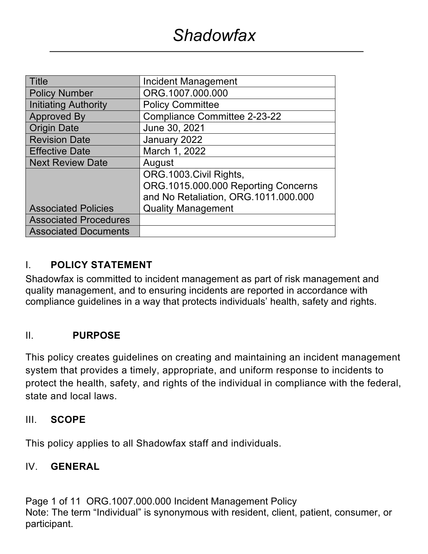| <b>Title</b>                 | <b>Incident Management</b>           |
|------------------------------|--------------------------------------|
| <b>Policy Number</b>         | ORG.1007.000.000                     |
| Initiating Authority         | <b>Policy Committee</b>              |
| <b>Approved By</b>           | <b>Compliance Committee 2-23-22</b>  |
| <b>Origin Date</b>           | June 30, 2021                        |
| <b>Revision Date</b>         | January 2022                         |
| <b>Effective Date</b>        | March 1, 2022                        |
| <b>Next Review Date</b>      | August                               |
|                              | ORG.1003.Civil Rights,               |
|                              | ORG.1015.000.000 Reporting Concerns  |
|                              | and No Retaliation, ORG.1011.000.000 |
| <b>Associated Policies</b>   | <b>Quality Management</b>            |
| <b>Associated Procedures</b> |                                      |
| <b>Associated Documents</b>  |                                      |

## I. **POLICY STATEMENT**

Shadowfax is committed to incident management as part of risk management and quality management, and to ensuring incidents are reported in accordance with compliance guidelines in a way that protects individuals' health, safety and rights.

#### II. **PURPOSE**

This policy creates guidelines on creating and maintaining an incident management system that provides a timely, appropriate, and uniform response to incidents to protect the health, safety, and rights of the individual in compliance with the federal, state and local laws.

#### III. **SCOPE**

This policy applies to all Shadowfax staff and individuals.

#### IV. **GENERAL**

Page 1 of 11 ORG.1007.000.000 Incident Management Policy Note: The term "Individual" is synonymous with resident, client, patient, consumer, or participant.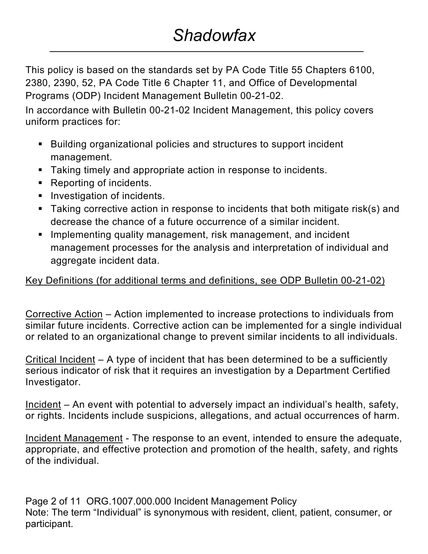This policy is based on the standards set by PA Code Title 55 Chapters 6100, 2380, 2390, 52, PA Code Title 6 Chapter 11, and Office of Developmental Programs (ODP) Incident Management Bulletin 00-21-02.

In accordance with Bulletin 00-21-02 Incident Management, this policy covers uniform practices for:

- Building organizational policies and structures to support incident management.
- Taking timely and appropriate action in response to incidents.
- Reporting of incidents.
- **•** Investigation of incidents.
- Taking corrective action in response to incidents that both mitigate risk(s) and decrease the chance of a future occurrence of a similar incident.
- Implementing quality management, risk management, and incident management processes for the analysis and interpretation of individual and aggregate incident data.

## Key Definitions (for additional terms and definitions, see ODP Bulletin 00-21-02)

Corrective Action – Action implemented to increase protections to individuals from similar future incidents. Corrective action can be implemented for a single individual or related to an organizational change to prevent similar incidents to all individuals.

Critical Incident – A type of incident that has been determined to be a sufficiently serious indicator of risk that it requires an investigation by a Department Certified Investigator.

Incident – An event with potential to adversely impact an individual's health, safety, or rights. Incidents include suspicions, allegations, and actual occurrences of harm.

Incident Management - The response to an event, intended to ensure the adequate, appropriate, and effective protection and promotion of the health, safety, and rights of the individual.

Page 2 of 11 ORG.1007.000.000 Incident Management Policy Note: The term "Individual" is synonymous with resident, client, patient, consumer, or participant.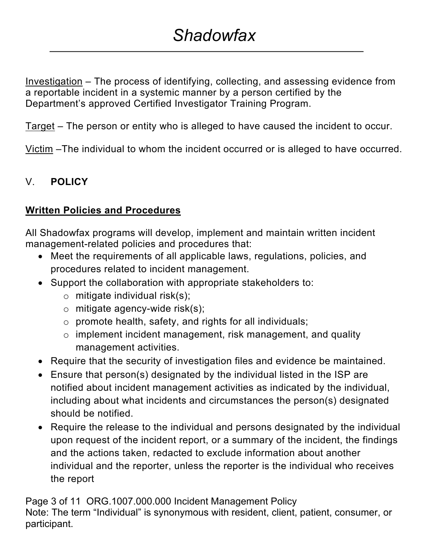Investigation – The process of identifying, collecting, and assessing evidence from a reportable incident in a systemic manner by a person certified by the Department's approved Certified Investigator Training Program.

Target – The person or entity who is alleged to have caused the incident to occur.

Victim –The individual to whom the incident occurred or is alleged to have occurred.

## V. **POLICY**

### **Written Policies and Procedures**

All Shadowfax programs will develop, implement and maintain written incident management-related policies and procedures that:

- Meet the requirements of all applicable laws, regulations, policies, and procedures related to incident management.
- Support the collaboration with appropriate stakeholders to:
	- $\circ$  mitigate individual risk(s);
	- $\circ$  mitigate agency-wide risk(s);
	- o promote health, safety, and rights for all individuals;
	- o implement incident management, risk management, and quality management activities.
- Require that the security of investigation files and evidence be maintained.
- Ensure that person(s) designated by the individual listed in the ISP are notified about incident management activities as indicated by the individual, including about what incidents and circumstances the person(s) designated should be notified.
- Require the release to the individual and persons designated by the individual upon request of the incident report, or a summary of the incident, the findings and the actions taken, redacted to exclude information about another individual and the reporter, unless the reporter is the individual who receives the report

Page 3 of 11 ORG.1007.000.000 Incident Management Policy Note: The term "Individual" is synonymous with resident, client, patient, consumer, or participant.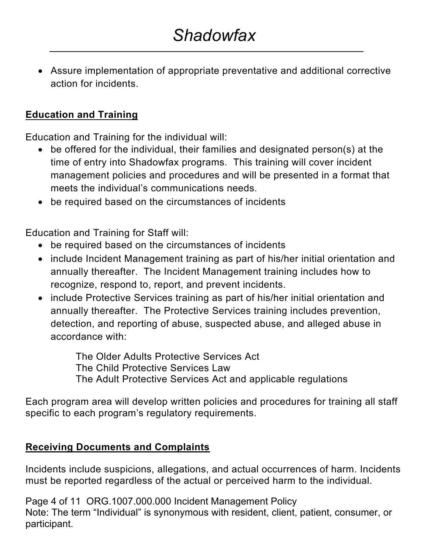• Assure implementation of appropriate preventative and additional corrective action for incidents.

## **Education and Training**

Education and Training for the individual will:

- be offered for the individual, their families and designated person(s) at the time of entry into Shadowfax programs. This training will cover incident management policies and procedures and will be presented in a format that meets the individual's communications needs.
- be required based on the circumstances of incidents

Education and Training for Staff will:

- be required based on the circumstances of incidents
- include Incident Management training as part of his/her initial orientation and annually thereafter. The Incident Management training includes how to recognize, respond to, report, and prevent incidents.
- include Protective Services training as part of his/her initial orientation and annually thereafter. The Protective Services training includes prevention, detection, and reporting of abuse, suspected abuse, and alleged abuse in accordance with:

The Older Adults Protective Services Act The Child Protective Services Law The Adult Protective Services Act and applicable regulations

Each program area will develop written policies and procedures for training all staff specific to each program's regulatory requirements.

## **Receiving Documents and Complaints**

Incidents include suspicions, allegations, and actual occurrences of harm. Incidents must be reported regardless of the actual or perceived harm to the individual.

Page 4 of 11 ORG.1007.000.000 Incident Management Policy Note: The term "Individual" is synonymous with resident, client, patient, consumer, or participant.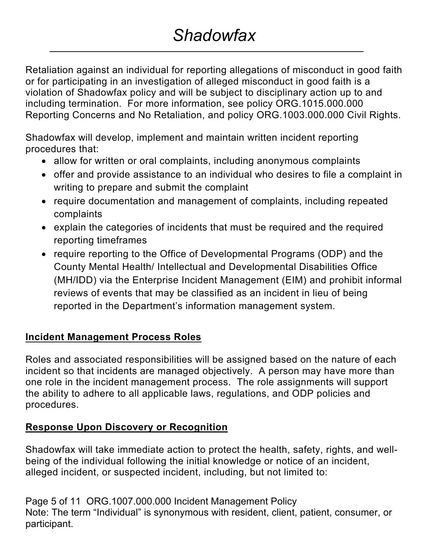# *Shadowfax*

Retaliation against an individual for reporting allegations of misconduct in good faith or for participating in an investigation of alleged misconduct in good faith is a violation of Shadowfax policy and will be subject to disciplinary action up to and including termination. For more information, see policy ORG.1015.000.000 Reporting Concerns and No Retaliation, and policy ORG.1003.000.000 Civil Rights.

Shadowfax will develop, implement and maintain written incident reporting procedures that:

- allow for written or oral complaints, including anonymous complaints
- offer and provide assistance to an individual who desires to file a complaint in writing to prepare and submit the complaint
- require documentation and management of complaints, including repeated complaints
- explain the categories of incidents that must be required and the required reporting timeframes
- require reporting to the Office of Developmental Programs (ODP) and the County Mental Health/ Intellectual and Developmental Disabilities Office (MH/IDD) via the Enterprise Incident Management (EIM) and prohibit informal reviews of events that may be classified as an incident in lieu of being reported in the Department's information management system.

# **Incident Management Process Roles**

Roles and associated responsibilities will be assigned based on the nature of each incident so that incidents are managed objectively. A person may have more than one role in the incident management process. The role assignments will support the ability to adhere to all applicable laws, regulations, and ODP policies and procedures.

# **Response Upon Discovery or Recognition**

Shadowfax will take immediate action to protect the health, safety, rights, and wellbeing of the individual following the initial knowledge or notice of an incident, alleged incident, or suspected incident, including, but not limited to:

Page 5 of 11 ORG.1007.000.000 Incident Management Policy Note: The term "Individual" is synonymous with resident, client, patient, consumer, or participant.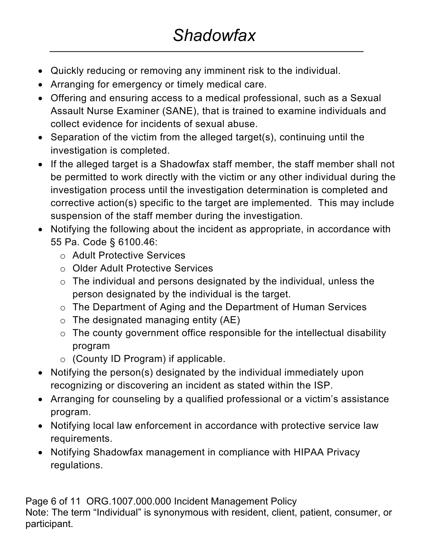- Quickly reducing or removing any imminent risk to the individual.
- Arranging for emergency or timely medical care.
- Offering and ensuring access to a medical professional, such as a Sexual Assault Nurse Examiner (SANE), that is trained to examine individuals and collect evidence for incidents of sexual abuse.
- Separation of the victim from the alleged target(s), continuing until the investigation is completed.
- If the alleged target is a Shadowfax staff member, the staff member shall not be permitted to work directly with the victim or any other individual during the investigation process until the investigation determination is completed and corrective action(s) specific to the target are implemented. This may include suspension of the staff member during the investigation.
- Notifying the following about the incident as appropriate, in accordance with 55 Pa. Code § 6100.46:
	- o Adult Protective Services
	- o Older Adult Protective Services
	- $\circ$  The individual and persons designated by the individual, unless the person designated by the individual is the target.
	- o The Department of Aging and the Department of Human Services
	- $\circ$  The designated managing entity (AE)
	- $\circ$  The county government office responsible for the intellectual disability program
	- o (County ID Program) if applicable.
- Notifying the person(s) designated by the individual immediately upon recognizing or discovering an incident as stated within the ISP.
- Arranging for counseling by a qualified professional or a victim's assistance program.
- Notifying local law enforcement in accordance with protective service law requirements.
- Notifying Shadowfax management in compliance with HIPAA Privacy regulations.

Page 6 of 11 ORG.1007.000.000 Incident Management Policy Note: The term "Individual" is synonymous with resident, client, patient, consumer, or participant.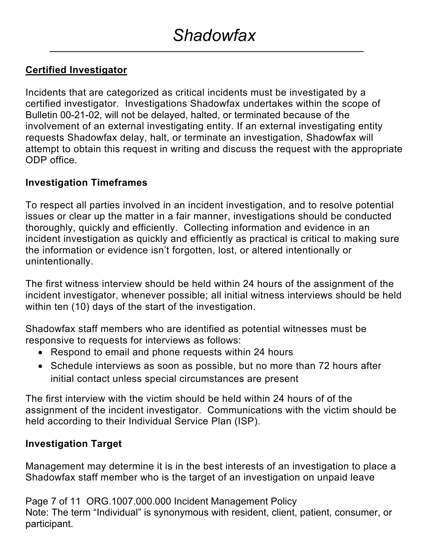## **Certified Investigator**

Incidents that are categorized as critical incidents must be investigated by a certified investigator. Investigations Shadowfax undertakes within the scope of Bulletin 00-21-02, will not be delayed, halted, or terminated because of the involvement of an external investigating entity. If an external investigating entity requests Shadowfax delay, halt, or terminate an investigation, Shadowfax will attempt to obtain this request in writing and discuss the request with the appropriate ODP office.

#### **Investigation Timeframes**

To respect all parties involved in an incident investigation, and to resolve potential issues or clear up the matter in a fair manner, investigations should be conducted thoroughly, quickly and efficiently. Collecting information and evidence in an incident investigation as quickly and efficiently as practical is critical to making sure the information or evidence isn't forgotten, lost, or altered intentionally or unintentionally.

The first witness interview should be held within 24 hours of the assignment of the incident investigator, whenever possible; all initial witness interviews should be held within ten (10) days of the start of the investigation.

Shadowfax staff members who are identified as potential witnesses must be responsive to requests for interviews as follows:

- Respond to email and phone requests within 24 hours
- Schedule interviews as soon as possible, but no more than 72 hours after initial contact unless special circumstances are present

The first interview with the victim should be held within 24 hours of of the assignment of the incident investigator. Communications with the victim should be held according to their Individual Service Plan (ISP).

#### **Investigation Target**

Management may determine it is in the best interests of an investigation to place a Shadowfax staff member who is the target of an investigation on unpaid leave

Page 7 of 11 ORG.1007.000.000 Incident Management Policy Note: The term "Individual" is synonymous with resident, client, patient, consumer, or participant.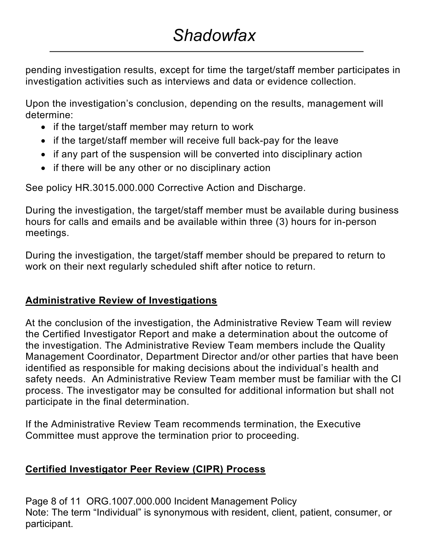pending investigation results, except for time the target/staff member participates in investigation activities such as interviews and data or evidence collection.

Upon the investigation's conclusion, depending on the results, management will determine:

- if the target/staff member may return to work
- if the target/staff member will receive full back-pay for the leave
- if any part of the suspension will be converted into disciplinary action
- if there will be any other or no disciplinary action

See policy HR.3015.000.000 Corrective Action and Discharge.

During the investigation, the target/staff member must be available during business hours for calls and emails and be available within three (3) hours for in-person meetings.

During the investigation, the target/staff member should be prepared to return to work on their next regularly scheduled shift after notice to return.

## **Administrative Review of Investigations**

At the conclusion of the investigation, the Administrative Review Team will review the Certified Investigator Report and make a determination about the outcome of the investigation. The Administrative Review Team members include the Quality Management Coordinator, Department Director and/or other parties that have been identified as responsible for making decisions about the individual's health and safety needs. An Administrative Review Team member must be familiar with the CI process. The investigator may be consulted for additional information but shall not participate in the final determination.

If the Administrative Review Team recommends termination, the Executive Committee must approve the termination prior to proceeding.

## **Certified Investigator Peer Review (CIPR) Process**

Page 8 of 11 ORG.1007.000.000 Incident Management Policy Note: The term "Individual" is synonymous with resident, client, patient, consumer, or participant.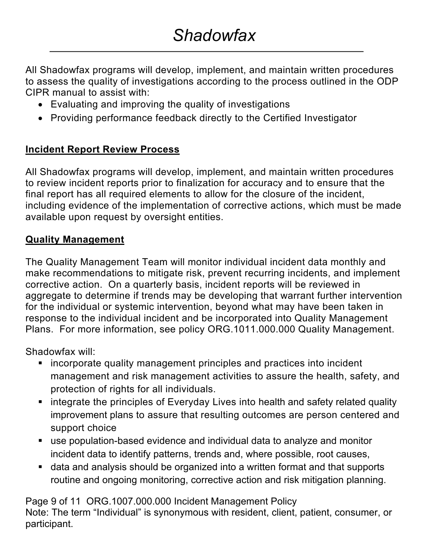All Shadowfax programs will develop, implement, and maintain written procedures to assess the quality of investigations according to the process outlined in the ODP CIPR manual to assist with:

- Evaluating and improving the quality of investigations
- Providing performance feedback directly to the Certified Investigator

### **Incident Report Review Process**

All Shadowfax programs will develop, implement, and maintain written procedures to review incident reports prior to finalization for accuracy and to ensure that the final report has all required elements to allow for the closure of the incident, including evidence of the implementation of corrective actions, which must be made available upon request by oversight entities.

### **Quality Management**

The Quality Management Team will monitor individual incident data monthly and make recommendations to mitigate risk, prevent recurring incidents, and implement corrective action. On a quarterly basis, incident reports will be reviewed in aggregate to determine if trends may be developing that warrant further intervention for the individual or systemic intervention, beyond what may have been taken in response to the individual incident and be incorporated into Quality Management Plans. For more information, see policy ORG.1011.000.000 Quality Management.

Shadowfax will:

- incorporate quality management principles and practices into incident management and risk management activities to assure the health, safety, and protection of rights for all individuals.
- integrate the principles of Everyday Lives into health and safety related quality improvement plans to assure that resulting outcomes are person centered and support choice
- use population-based evidence and individual data to analyze and monitor incident data to identify patterns, trends and, where possible, root causes,
- data and analysis should be organized into a written format and that supports routine and ongoing monitoring, corrective action and risk mitigation planning.

Page 9 of 11 ORG.1007.000.000 Incident Management Policy Note: The term "Individual" is synonymous with resident, client, patient, consumer, or participant.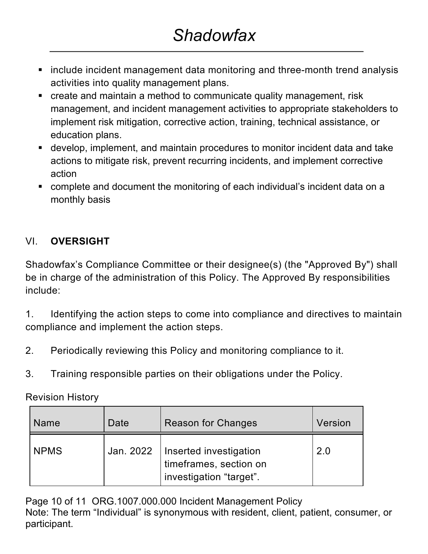- include incident management data monitoring and three-month trend analysis activities into quality management plans.
- create and maintain a method to communicate quality management, risk management, and incident management activities to appropriate stakeholders to implement risk mitigation, corrective action, training, technical assistance, or education plans.
- develop, implement, and maintain procedures to monitor incident data and take actions to mitigate risk, prevent recurring incidents, and implement corrective action
- complete and document the monitoring of each individual's incident data on a monthly basis

# VI. **OVERSIGHT**

Shadowfax's Compliance Committee or their designee(s) (the "Approved By") shall be in charge of the administration of this Policy. The Approved By responsibilities include:

1. Identifying the action steps to come into compliance and directives to maintain compliance and implement the action steps.

- 2. Periodically reviewing this Policy and monitoring compliance to it.
- 3. Training responsible parties on their obligations under the Policy.

Revision History

| <b>Name</b> | Date      | <b>Reason for Changes</b>                                                   | Version |
|-------------|-----------|-----------------------------------------------------------------------------|---------|
| <b>NPMS</b> | Jan. 2022 | Inserted investigation<br>timeframes, section on<br>investigation "target". | 2.0     |

Page 10 of 11 ORG.1007.000.000 Incident Management Policy Note: The term "Individual" is synonymous with resident, client, patient, consumer, or participant.